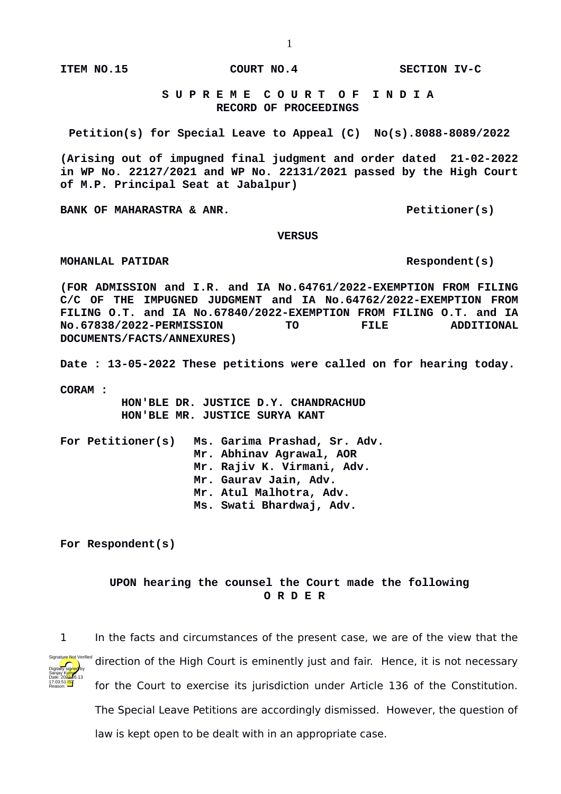**ITEM NO.15 COURT NO.4 SECTION IV-C**

 **S U P R E M E C O U R T O F I N D I A RECORD OF PROCEEDINGS**

**Petition(s) for Special Leave to Appeal (C) No(s).8088-8089/2022**

**(Arising out of impugned final judgment and order dated 21-02-2022 in WP No. 22127/2021 and WP No. 22131/2021 passed by the High Court of M.P. Principal Seat at Jabalpur)**

**BANK OF MAHARASTRA & ANR.** And the set of the set of the petitioner(s)

 **VERSUS**

**MOHANLAL PATIDAR** Respondent(s)

**(FOR ADMISSION and I.R. and IA No.64761/2022-EXEMPTION FROM FILING C/C OF THE IMPUGNED JUDGMENT and IA No.64762/2022-EXEMPTION FROM FILING O.T. and IA No.67840/2022-EXEMPTION FROM FILING O.T. and IA No.67838/2022-PERMISSION TO FILE ADDITIONAL DOCUMENTS/FACTS/ANNEXURES)**

**Date : 13-05-2022 These petitions were called on for hearing today.**

**CORAM :** 

 **HON'BLE DR. JUSTICE D.Y. CHANDRACHUD HON'BLE MR. JUSTICE SURYA KANT**

**For Petitioner(s) Ms. Garima Prashad, Sr. Adv. Mr. Abhinav Agrawal, AOR Mr. Rajiv K. Virmani, Adv. Mr. Gaurav Jain, Adv. Mr. Atul Malhotra, Adv. Ms. Swati Bhardwaj, Adv.**

**For Respondent(s)**

## **UPON hearing the counsel the Court made the following O R D E R**



1 In the facts and circumstances of the present case, we are of the view that the direction of the High Court is eminently just and fair. Hence, it is not necessary for the Court to exercise its jurisdiction under Article 136 of the Constitution. The Special Leave Petitions are accordingly dismissed. However, the question of law is kept open to be dealt with in an appropriate case.